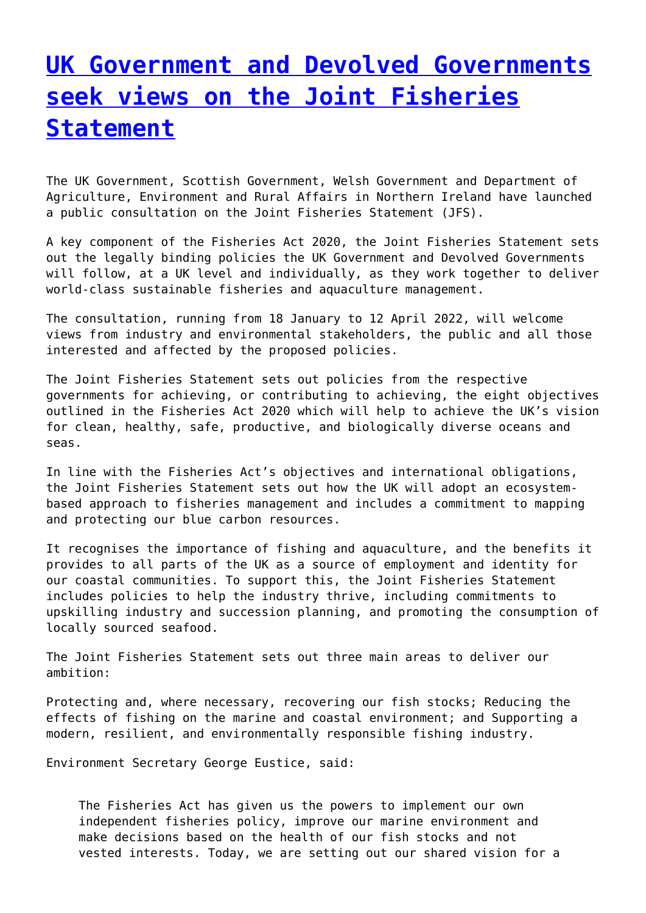## **[UK Government and Devolved Governments](http://www.government-world.com/uk-government-and-devolved-governments-seek-views-on-the-joint-fisheries-statement-2/) [seek views on the Joint Fisheries](http://www.government-world.com/uk-government-and-devolved-governments-seek-views-on-the-joint-fisheries-statement-2/) [Statement](http://www.government-world.com/uk-government-and-devolved-governments-seek-views-on-the-joint-fisheries-statement-2/)**

The UK Government, Scottish Government, Welsh Government and Department of Agriculture, Environment and Rural Affairs in Northern Ireland have launched a public consultation on the Joint Fisheries Statement (JFS).

A key component of the Fisheries Act 2020, the Joint Fisheries Statement sets out the legally binding policies the UK Government and Devolved Governments will follow, at a UK level and individually, as they work together to deliver world-class sustainable fisheries and aquaculture management.

The consultation, running from 18 January to 12 April 2022, will welcome views from industry and environmental stakeholders, the public and all those interested and affected by the proposed policies.

The Joint Fisheries Statement sets out policies from the respective governments for achieving, or contributing to achieving, the eight objectives outlined in the Fisheries Act 2020 which will help to achieve the UK's vision for clean, healthy, safe, productive, and biologically diverse oceans and seas.

In line with the Fisheries Act's objectives and international obligations, the Joint Fisheries Statement sets out how the UK will adopt an ecosystembased approach to fisheries management and includes a commitment to mapping and protecting our blue carbon resources.

It recognises the importance of fishing and aquaculture, and the benefits it provides to all parts of the UK as a source of employment and identity for our coastal communities. To support this, the Joint Fisheries Statement includes policies to help the industry thrive, including commitments to upskilling industry and succession planning, and promoting the consumption of locally sourced seafood.

The Joint Fisheries Statement sets out three main areas to deliver our ambition:

Protecting and, where necessary, recovering our fish stocks; Reducing the effects of fishing on the marine and coastal environment; and Supporting a modern, resilient, and environmentally responsible fishing industry.

Environment Secretary George Eustice, said:

The Fisheries Act has given us the powers to implement our own independent fisheries policy, improve our marine environment and make decisions based on the health of our fish stocks and not vested interests. Today, we are setting out our shared vision for a